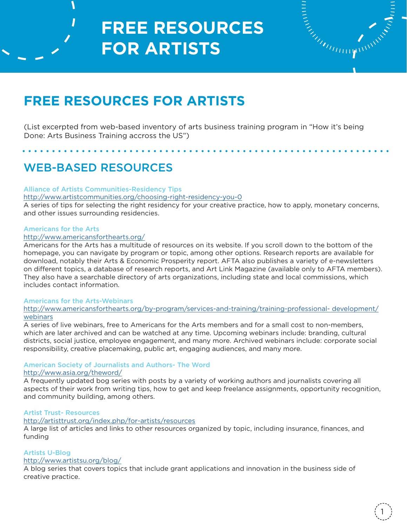

# **FREE RESOURCES FOR ARTISTS**

(List excerpted from web-based inventory of arts business training program in "How it's being Done: Arts Business Training accross the US")

# WEB-BASED RESOURCES

### Alliance of Artists Communities-Residency Tips

### http://www.artistcommunities.org/choosing-right-residency-you-0

A series of tips for selecting the right residency for your creative practice, how to apply, monetary concerns, and other issues surrounding residencies.

### Americans for the Arts

### http://www.americansforthearts.org/

Americans for the Arts has a multitude of resources on its website. If you scroll down to the bottom of the homepage, you can navigate by program or topic, among other options. Research reports are available for download, notably their Arts & Economic Prosperity report. AFTA also publishes a variety of e-newsletters on different topics, a database of research reports, and Art Link Magazine (available only to AFTA members). They also have a searchable directory of arts organizations, including state and local commissions, which includes contact information.

### Americans for the Arts-Webinars

http://www.americansforthearts.org/by-program/services-and-training/training-professional- development/ webinars

A series of live webinars, free to Americans for the Arts members and for a small cost to non-members, which are later archived and can be watched at any time. Upcoming webinars include: branding, cultural districts, social justice, employee engagement, and many more. Archived webinars include: corporate social responsibility, creative placemaking, public art, engaging audiences, and many more.

### American Society of Journalists and Authors- The Word http://www.asia.org/theword/

A frequently updated bog series with posts by a variety of working authors and journalists covering all aspects of their work from writing tips, how to get and keep freelance assignments, opportunity recognition, and community building, among others.

## Artist Trust- Resources

### http://artisttrust.org/index.php/for-artists/resources

A large list of articles and links to other resources organized by topic, including insurance, finances, and funding

## Artists U-Blog

## http://www.artistsu.org/blog/

A blog series that covers topics that include grant applications and innovation in the business side of creative practice.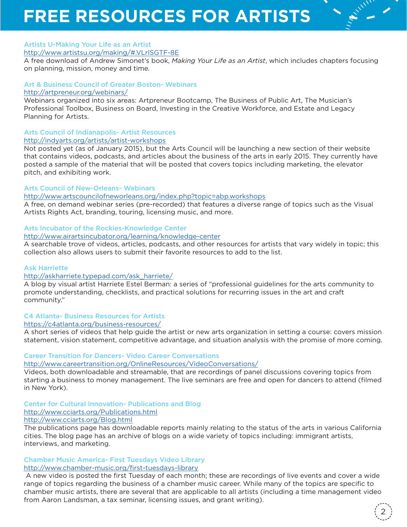### Artists U-Making Your Life as an Artist

### http://www.artistsu.org/making/#.VLrlSGTF-8E

A free download of Andrew Simonet's book, *Making Your Life as an Artist*, which includes chapters focusing on planning, mission, money and time.

### Art & Business Council of Greater Boston- Webinars http://artpreneur.org/webinars/

Webinars organized into six areas: Artpreneur Bootcamp, The Business of Public Art, The Musician's Professional Toolbox, Business on Board, Investing in the Creative Workforce, and Estate and Legacy Planning for Artists.

### Arts Council of Indianapolis- Artist Resources

### http://indyarts.org/artists/artist-workshops

Not posted yet (as of January 2015), but the Arts Council will be launching a new section of their website that contains videos, podcasts, and articles about the business of the arts in early 2015. They currently have posted a sample of the material that will be posted that covers topics including marketing, the elevator pitch, and exhibiting work.

### Arts Council of New-Orleans- Webinars

### http://www.artscouncilofneworleans.org/index.php?topic=abp.workshops

A free, on demand webinar series (pre-recorded) that features a diverse range of topics such as the Visual Artists Rights Act, branding, touring, licensing music, and more.

### Arts Incubator of the Rockies-Knowledge Center

### http://www.airartsincubator.org/learning/knowledge-center

A searchable trove of videos, articles, podcasts, and other resources for artists that vary widely in topic; this collection also allows users to submit their favorite resources to add to the list.

### Ask Harriette

### http://askharriete.typepad.com/ask\_harriete/

A blog by visual artist Harriete Estel Berman: a series of "professional guidelines for the arts community to promote understanding, checklists, and practical solutions for recurring issues in the art and craft community."

### C4 Atlanta- Business Resources for Artists

### https://c4atlanta.org/business-resources/

A short series of videos that help guide the artist or new arts organization in setting a course: covers mission statement, vision statement, competitive advantage, and situation analysis with the promise of more coming.

### Career Transition for Dancers- Video Career Conversations

### http://www.careertransition.org/OnlineResources/VideoConversations/

Videos, both downloadable and streamable, that are recordings of panel discussions covering topics from starting a business to money management. The live seminars are free and open for dancers to attend (filmed in New York).

### Center for Cultural Innovation- Publications and Blog http://www.cciarts.org/Publications.html

## http://www.cciarts.org/Blog.html

### The publications page has downloadable reports mainly relating to the status of the arts in various California cities. The blog page has an archive of blogs on a wide variety of topics including: immigrant artists,

interviews, and marketing.

### Chamber Music America- First Tuesdays Video Library

### http://www.chamber-music.org/first-tuesdays-library

 A new video is posted the first Tuesday of each month; these are recordings of live events and cover a wide range of topics regarding the business of a chamber music career. While many of the topics are specific to chamber music artists, there are several that are applicable to all artists (including a time management video from Aaron Landsman, a tax seminar, licensing issues, and grant writing).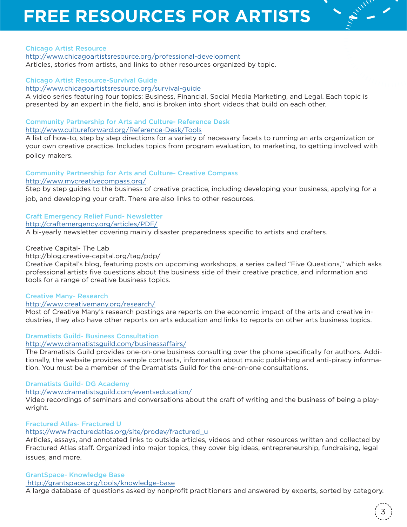### Chicago Artist Resource

http://www.chicagoartistsresource.org/professional-development Articles, stories from artists, and links to other resources organized by topic.

### Chicago Artist Resource-Survival Guide

http://www.chicagoartistsresource.org/survival-guide

A video series featuring four topics: Business, Financial, Social Media Marketing, and Legal. Each topic is presented by an expert in the field, and is broken into short videos that build on each other.

### Community Partnership for Arts and Culture- Reference Desk http://www.cultureforward.org/Reference-Desk/Tools

A list of how-to, step by step directions for a variety of necessary facets to running an arts organization or your own creative practice. Includes topics from program evaluation, to marketing, to getting involved with policy makers.

### Community Partnership for Arts and Culture- Creative Compass

### http://www.mycreativecompass.org/

Step by step guides to the business of creative practice, including developing your business, applying for a job, and developing your craft. There are also links to other resources.

### Craft Emergency Relief Fund- Newsletter

### http://craftemergency.org/articles/PDF/

A bi-yearly newsletter covering mainly disaster preparedness specific to artists and crafters.

### Creative Capital- The Lab

### http://blog.creative-capital.org/tag/pdp/

Creative Capital's blog, featuring posts on upcoming workshops, a series called "Five Questions," which asks professional artists five questions about the business side of their creative practice, and information and tools for a range of creative business topics.

### Creative Many- Research

### http://www.creativemany.org/research/

Most of Creative Many's research postings are reports on the economic impact of the arts and creative industries, they also have other reports on arts education and links to reports on other arts business topics.

### Dramatists Guild- Business Consultation

### http://www.dramatistsguild.com/businessaffairs/

The Dramatists Guild provides one-on-one business consulting over the phone specifically for authors. Additionally, the website provides sample contracts, information about music publishing and anti-piracy information. You must be a member of the Dramatists Guild for the one-on-one consultations.

### Dramatists Guild- DG Academy

### http://www.dramatistsguild.com/eventseducation/

Video recordings of seminars and conversations about the craft of writing and the business of being a playwright.

### Fractured Atlas- Fractured U

### https://www.fracturedatlas.org/site/prodev/fractured\_u

Articles, essays, and annotated links to outside articles, videos and other resources written and collected by Fractured Atlas staff. Organized into major topics, they cover big ideas, entrepreneurship, fundraising, legal issues, and more.

### GrantSpace- Knowledge Base

### http://grantspace.org/tools/knowledge-base

A large database of questions asked by nonprofit practitioners and answered by experts, sorted by category.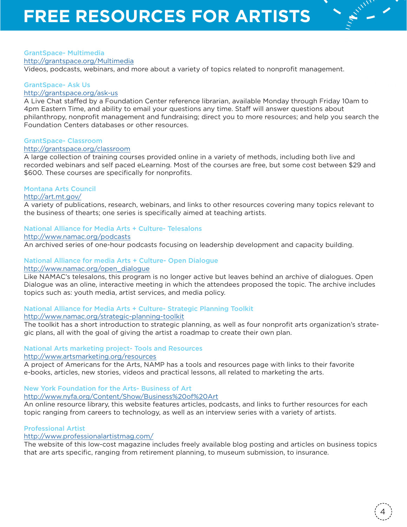### GrantSpace- Multimedia

http://grantspace.org/Multimedia

Videos, podcasts, webinars, and more about a variety of topics related to nonprofit management.

### GrantSpace- Ask Us

### http://grantspace.org/ask-us

A Live Chat staffed by a Foundation Center reference librarian, available Monday through Friday 10am to 4pm Eastern Time, and ability to email your questions any time. Staff will answer questions about philanthropy, nonprofit management and fundraising; direct you to more resources; and help you search the Foundation Centers databases or other resources.

### GrantSpace- Classroom

### http://grantspace.org/classroom

A large collection of training courses provided online in a variety of methods, including both live and recorded webinars and self paced eLearning. Most of the courses are free, but some cost between \$29 and \$600. These courses are specifically for nonprofits.

### Montana Arts Council

### http://art.mt.gov/

A variety of publications, research, webinars, and links to other resources covering many topics relevant to the business of thearts; one series is specifically aimed at teaching artists.

### National Alliance for Media Arts + Culture- Telesalons

http://www.namac.org/podcasts

An archived series of one-hour podcasts focusing on leadership development and capacity building.

### National Alliance for media Arts + Culture- Open Dialogue

### http://www.namac.org/open\_dialogue

Like NAMAC's telesalons, this program is no longer active but leaves behind an archive of dialogues. Open Dialogue was an oline, interactive meeting in which the attendees proposed the topic. The archive includes topics such as: youth media, artist services, and media policy.

### National Alliance for Media Arts + Culture- Strategic Planning Toolkit http://www.namac.org/strategic-planning-toolkit

The toolkit has a short introduction to strategic planning, as well as four nonprofit arts organization's strategic plans, all with the goal of giving the artist a roadmap to create their own plan.

### National Arts marketing project- Tools and Resources

### http://www.artsmarketing.org/resources

A project of Americans for the Arts, NAMP has a tools and resources page with links to their favorite e-books, articles, new stories, videos and practical lessons, all related to marketing the arts.

New York Foundation for the Arts- Business of Art

http://www.nyfa.org/Content/Show/Business%20of%20Art

An online resource library, this website features articles, podcasts, and links to further resources for each topic ranging from careers to technology, as well as an interview series with a variety of artists.

### Professional Artist

http://www.professionalartistmag.com/

The website of this low-cost magazine includes freely available blog posting and articles on business topics that are arts specific, ranging from retirement planning, to museum submission, to insurance.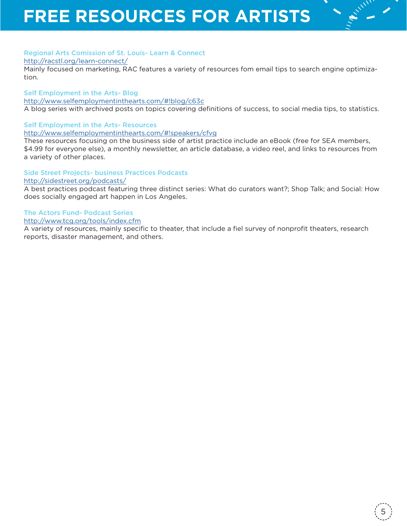### Regional Arts Comission of St. Louis- Learn & Connect

http://racstl.org/learn-connect/

Mainly focused on marketing, RAC features a variety of resources fom email tips to search engine optimization.

### Self Employment in the Arts- Blog

http://www.selfemploymentinthearts.com/#!blog/c63c

A blog series with archived posts on topics covering definitions of success, to social media tips, to statistics.

### Self Employment in the Arts- Resources

http://www.selfemploymentinthearts.com/#!speakers/cfvg

These resources focusing on the business side of artist practice include an eBook (free for SEA members, \$4.99 for everyone else), a monthly newsletter, an article database, a video reel, and links to resources from a variety of other places.

Side Street Projects- business Practices Podcasts http://sidestreet.org/podcasts/

A best practices podcast featuring three distinct series: What do curators want?; Shop Talk; and Social: How does socially engaged art happen in Los Angeles.

### The Actors Fund- Podcast Series

### http://www.tcg.org/tools/index.cfm

A variety of resources, mainly specific to theater, that include a fiel survey of nonprofit theaters, research reports, disaster management, and others.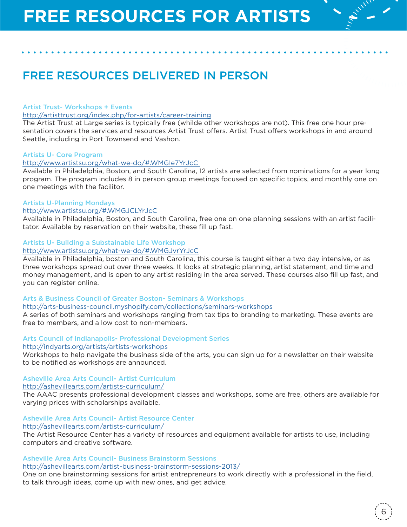# FREE RESOURCES DELIVERED IN PERSON

### Artist Trust- Workshops + Events

### http://artisttrust.org/index.php/for-artists/career-training

The Artist Trust at Large series is typically free (whilde other workshops are not). This free one hour presentation covers the services and resources Artist Trust offers. Artist Trust offers workshops in and around Seattle, including in Port Townsend and Vashon.

### Artists U- Core Program

### http://www.artistsu.org/what-we-do/#.WMGIe7YrJcC

Available in Philadelphia, Boston, and South Carolina, 12 artists are selected from nominations for a year long program. The program includes 8 in person group meetings focused on specific topics, and monthly one on one meetings with the facilitor.

### Artists U-Planning Mondays

### http://www.artistsu.org/#.WMGJCLYrJcC

Available in Philadelphia, Boston, and South Carolina, free one on one planning sessions with an artist facilitator. Available by reservation on their website, these fill up fast.

### Artists U- Building a Substainable Life Workshop

### http://www.artistsu.org/what-we-do/#.WMGJvrYrJcC

Available in Philadelphia, boston and South Carolina, this course is taught either a two day intensive, or as three workshops spread out over three weeks. It looks at strategic planning, artist statement, and time and money management, and is open to any artist residing in the area served. These courses also fill up fast, and you can register online.

### Arts & Business Council of Greater Boston- Seminars & Workshops

### http://arts-business-council.myshopify.com/collections/seminars-workshops

A series of both seminars and workshops ranging from tax tips to branding to marketing. These events are free to members, and a low cost to non-members.

### Arts Council of Indianapolis- Professional Development Series

#### http://indyarts.org/artists/artists-workshops

Workshops to help navigate the business side of the arts, you can sign up for a newsletter on their website to be notified as workshops are announced.

### Asheville Area Arts Council- Artist Curriculum

#### http://ashevillearts.com/artists-curriculum/

The AAAC presents professional development classes and workshops, some are free, others are available for varying prices with scholarships available.

### Asheville Area Arts Council- Artist Resource Center

### http://ashevillearts.com/artists-curriculum/

The Artist Resource Center has a variety of resources and equipment available for artists to use, including computers and creative software.

### Asheville Area Arts Council- Business Brainstorm Sessions http://ashevillearts.com/artist-business-brainstorm-sessions-2013/

One on one brainstorming sessions for artist entrepreneurs to work directly with a professional in the field, to talk through ideas, come up with new ones, and get advice.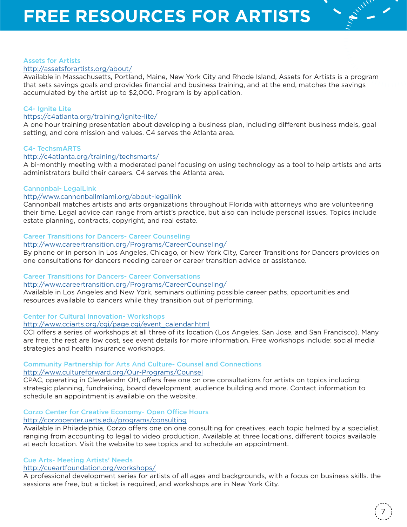### Assets for Artists

### http://assetsforartists.org/about/

Available in Massachusetts, Portland, Maine, New York City and Rhode Island, Assets for Artists is a program that sets savings goals and provides financial and business training, and at the end, matches the savings accumulated by the artist up to \$2,000. Program is by application.

### C4- Ignite Lite

### https://c4atlanta.org/training/ignite-lite/

A one hour training presentation about developing a business plan, including different business mdels, goal setting, and core mission and values. C4 serves the Atlanta area.

### C4- TechsmARTS

### http://c4atlanta.org/training/techsmarts/

A bi-monthly meeting with a moderated panel focusing on using technology as a tool to help artists and arts administrators build their careers. C4 serves the Atlanta area.

### Cannonbal- LegalLink

### http//www.cannonballmiami.org/about-legallink

Cannonball matches artists and arts organizations throughout Florida with attorneys who are volunteering their time. Legal advice can range from artist's practice, but also can include personal issues. Topics include estate planning, contracts, copyright, and real estate.

### Career Transitions for Dancers- Career Counseling

### http://www.careertransition.org/Programs/CareerCounseling/

By phone or in person in Los Angeles, Chicago, or New York City, Career Transitions for Dancers provides on one consultations for dancers needing career or career transition advice or assistance.

### Career Transitions for Dancers- Career Conversations

### http://www.careertransition.org/Programs/CareerCounseling/

Available in Los Angeles and New York, seminars outlining possible career paths, opportunities and resources available to dancers while they transition out of performing.

### Center for Cultural Innovation- Workshops

### http://www.cciarts.org/cgi/page.cgi/event\_calendar.html

CCI offers a series of workshops at all three of its location (Los Angeles, San Jose, and San Francisco). Many are free, the rest are low cost, see event details for more information. Free workshops include: social media strategies and health insurance workshops.

## Community Partnership for Arts And Culture- Counsel and Connections

### http://www.cultureforward.org/Our-Programs/Counsel

CPAC, operating in Clevelandm OH, offers free one on one consultations for artists on topics including: strategic planning, fundraising, board development, audience building and more. Contact information to schedule an appointment is available on the website.

### Corzo Center for Creative Economy- Open Office Hours

### http://corzocenter.uarts.edu/programs/consulting

Available in Philadelphia, Corzo offers one on one consulting for creatives, each topic helmed by a specialist, ranging from accounting to legal to video production. Available at three locations, different topics available at each location. Visit the website to see topics and to schedule an appointment.

### Cue Arts- Meeting Artists' Needs

### http://cueartfoundation.org/workshops/

A professional development series for artists of all ages and backgrounds, with a focus on business skills. the sessions are free, but a ticket is required, and workshops are in New York City.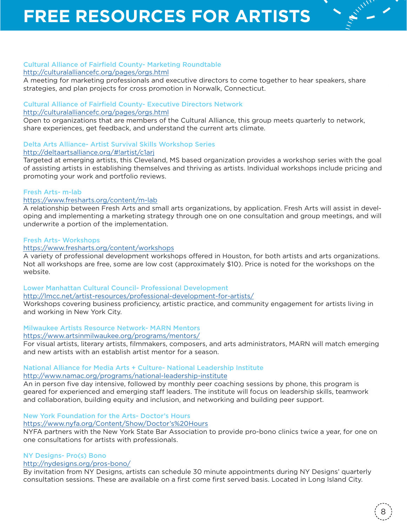### Cultural Alliance of Fairfield County- Marketing Roundtable http://culturalalliancefc.org/pages/orgs.html

A meeting for marketing professionals and executive directors to come together to hear speakers, share strategies, and plan projects for cross promotion in Norwalk, Connecticut.

## Cultural Alliance of Fairfield County- Executive Directors Network

### http://culturalalliancefc.org/pages/orgs.html

Open to organizations that are members of the Cultural Alliance, this group meets quarterly to network, share experiences, get feedback, and understand the current arts climate.

### Delta Arts Alliance- Artist Survival Skills Workshop Series

http://deltaartsalliance.org/#!artist/c1arj

Targeted at emerging artists, this Cleveland, MS based organization provides a workshop series with the goal of assisting artists in establishing themselves and thriving as artists. Individual workshops include pricing and promoting your work and portfolio reviews.

### Fresh Arts- m-lab

### https://www.fresharts.org/content/m-lab

A relationship between Fresh Arts and small arts organizations, by application. Fresh Arts will assist in developing and implementing a marketing strategy through one on one consultation and group meetings, and will underwrite a portion of the implementation.

### Fresh Arts- Workshops

### https://www.fresharts.org/content/workshops

A variety of professional development workshops offered in Houston, for both artists and arts organizations. Not all workshops are free, some are low cost (approximately \$10). Price is noted for the workshops on the website.

Lower Manhattan Cultural Council- Professional Development

http://lmcc.net/artist-resources/professional-development-for-artists/

Workshops covering business proficiency, artistic practice, and community engagement for artists living in and working in New York City.

Milwaukee Artists Resource Network- MARN Mentors

### https://www.artsinmilwaukee.org/programs/mentors/

For visual artists, literary artists, filmmakers, composers, and arts administrators, MARN will match emerging and new artists with an establish artist mentor for a season.

### National Alliance for Media Arts + Culture- National Leadership Institute http://www.namac.org/programs/national-leadership-institute

An in person five day intensive, followed by monthly peer coaching sessions by phone, this program is geared for experienced and emerging staff leaders. The institute will focus on leadership skills, teamwork and collaboration, building equity and inclusion, and networking and building peer support.

### New York Foundation for the Arts- Doctor's Hours

### https://www.nyfa.org/Content/Show/Doctor's%20Hours

NYFA partners with the New York State Bar Association to provide pro-bono clinics twice a year, for one on one consultations for artists with professionals.

### NY Designs- Pro(s) Bono

### http://nydesigns.org/pros-bono/

By invitation from NY Designs, artists can schedule 30 minute appointments during NY Designs' quarterly consultation sessions. These are available on a first come first served basis. Located in Long Island City.